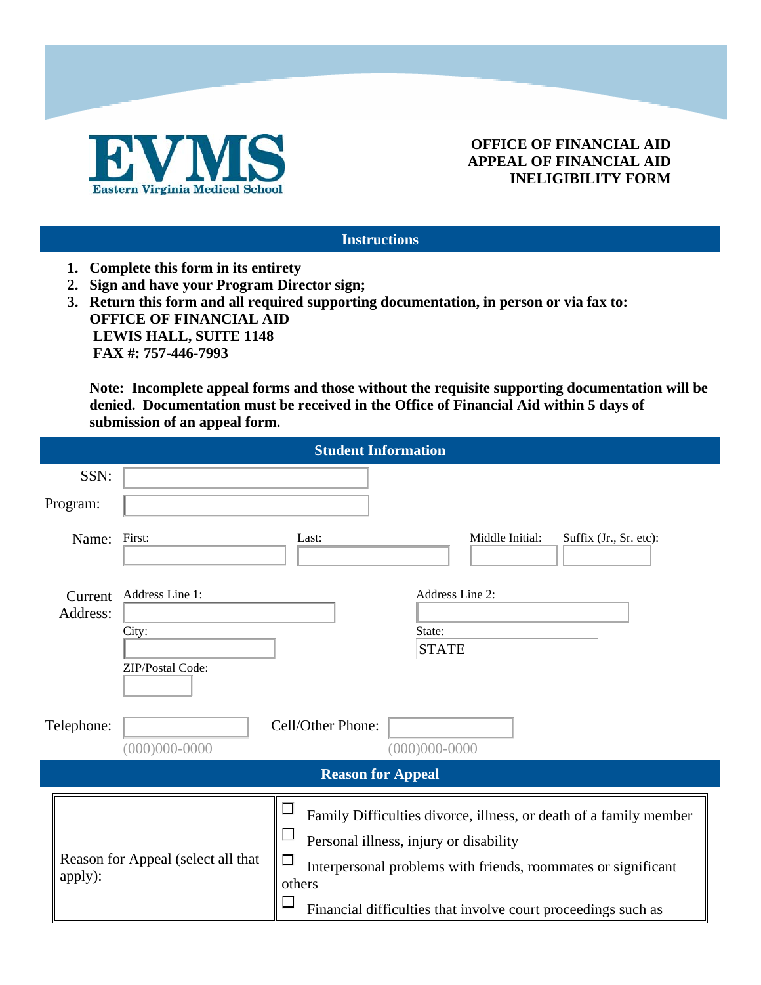

## **OFFICE OF FINANCIAL AID APPEAL OF FINANCIAL AID INELIGIBILITY FORM**

#### **Instructions**

- **1. Complete this form in its entirety**
- **2. Sign and have your Program Director sign;**
- **3. Return this form and all required supporting documentation, in person or via fax to: OFFICE OF FINANCIAL AID LEWIS HALL, SUITE 1148 FAX #: 757-446-7993**

**4. Note: Incomplete appeal forms and those without the requisite supporting documentation will be denied. Documentation must be received in the Office of Financial Aid within 5 days of submission of an appeal form.** 

| <b>Student Information</b> |                                               |                                              |                                                                                                                                                                                                                                                                                  |                                           |  |
|----------------------------|-----------------------------------------------|----------------------------------------------|----------------------------------------------------------------------------------------------------------------------------------------------------------------------------------------------------------------------------------------------------------------------------------|-------------------------------------------|--|
|                            | SSN:                                          |                                              |                                                                                                                                                                                                                                                                                  |                                           |  |
| Program:                   |                                               |                                              |                                                                                                                                                                                                                                                                                  |                                           |  |
|                            | Name:                                         | First:                                       | Last:                                                                                                                                                                                                                                                                            | Middle Initial:<br>Suffix (Jr., Sr. etc): |  |
|                            | Current<br>Address:                           | Address Line 1:<br>City:<br>ZIP/Postal Code: | State:                                                                                                                                                                                                                                                                           | Address Line 2:<br><b>STATE</b>           |  |
| Telephone:                 |                                               | $(000)000 - 0000$                            | Cell/Other Phone:<br>$(000)000 - 0000$                                                                                                                                                                                                                                           |                                           |  |
| <b>Reason for Appeal</b>   |                                               |                                              |                                                                                                                                                                                                                                                                                  |                                           |  |
|                            | Reason for Appeal (select all that<br>apply): |                                              | □<br>Family Difficulties divorce, illness, or death of a family member<br>$\Box$<br>Personal illness, injury or disability<br>$\Box$<br>Interpersonal problems with friends, roommates or significant<br>others<br>Financial difficulties that involve court proceedings such as |                                           |  |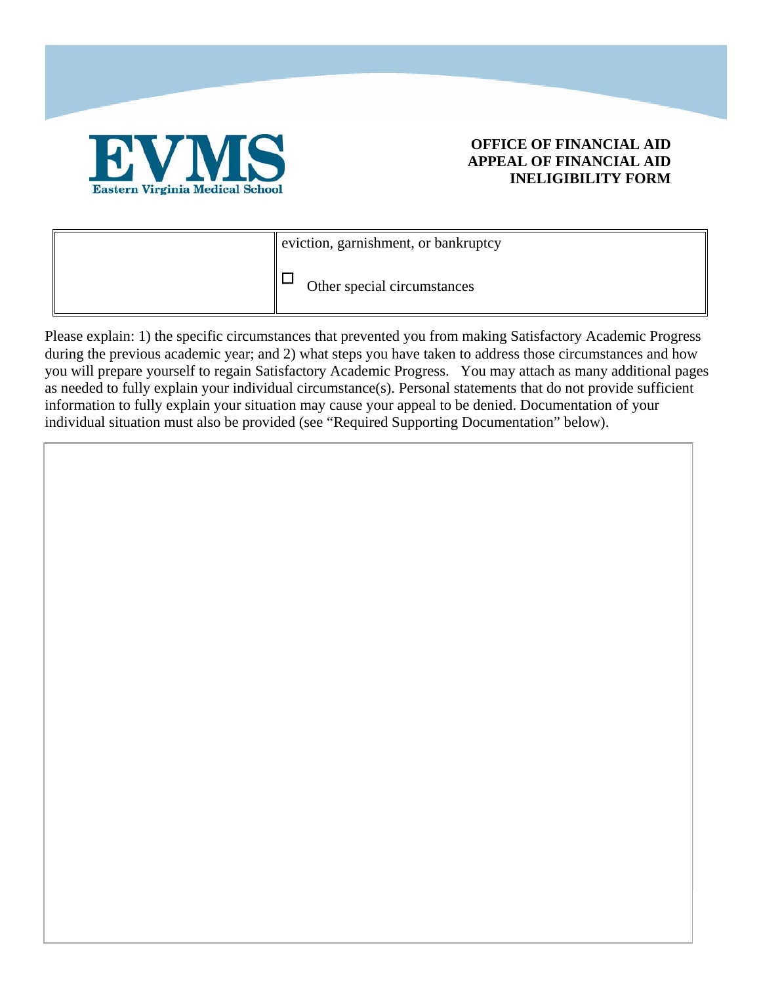

### **OFFICE OF FINANCIAL AID APPEAL OF FINANCIAL AID INELIGIBILITY FORM**

| $\parallel$ eviction, garnishment, or bankruptcy |  |
|--------------------------------------------------|--|
| Other special circumstances                      |  |

Please explain: 1) the specific circumstances that prevented you from making Satisfactory Academic Progress during the previous academic year; and 2) what steps you have taken to address those circumstances and how you will prepare yourself to regain Satisfactory Academic Progress. You may attach as many additional pages as needed to fully explain your individual circumstance(s). Personal statements that do not provide sufficient information to fully explain your situation may cause your appeal to be denied. Documentation of your individual situation must also be provided (see "Required Supporting Documentation" below).